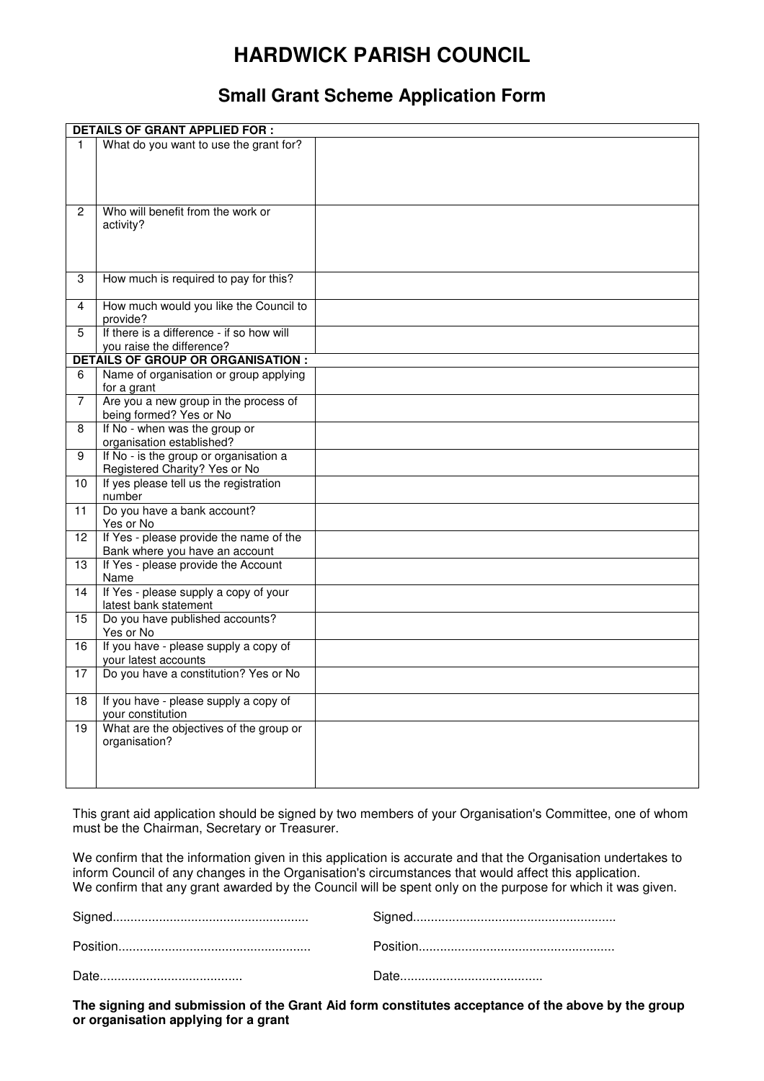# **HARDWICK PARISH COUNCIL**

# **Small Grant Scheme Application Form**

| <b>DETAILS OF GRANT APPLIED FOR:</b>      |                                               |  |  |  |
|-------------------------------------------|-----------------------------------------------|--|--|--|
| 1.                                        | What do you want to use the grant for?        |  |  |  |
|                                           |                                               |  |  |  |
|                                           |                                               |  |  |  |
|                                           |                                               |  |  |  |
|                                           |                                               |  |  |  |
| 2                                         | Who will benefit from the work or             |  |  |  |
|                                           | activity?                                     |  |  |  |
|                                           |                                               |  |  |  |
|                                           |                                               |  |  |  |
|                                           |                                               |  |  |  |
| 3                                         | How much is required to pay for this?         |  |  |  |
| 4                                         | How much would you like the Council to        |  |  |  |
|                                           | provide?                                      |  |  |  |
| 5                                         | If there is a difference - if so how will     |  |  |  |
|                                           | you raise the difference?                     |  |  |  |
| <b>DETAILS OF GROUP OR ORGANISATION :</b> |                                               |  |  |  |
| 6                                         | Name of organisation or group applying        |  |  |  |
|                                           | for a grant                                   |  |  |  |
| $\overline{7}$                            | Are you a new group in the process of         |  |  |  |
|                                           | being formed? Yes or No                       |  |  |  |
| 8                                         | If No - when was the group or                 |  |  |  |
|                                           | organisation established?                     |  |  |  |
| 9                                         | If No - is the group or organisation a        |  |  |  |
|                                           | Registered Charity? Yes or No                 |  |  |  |
| 10                                        | If yes please tell us the registration        |  |  |  |
|                                           | number                                        |  |  |  |
| 11                                        | Do you have a bank account?                   |  |  |  |
|                                           | Yes or No                                     |  |  |  |
| 12                                        | If Yes - please provide the name of the       |  |  |  |
|                                           | Bank where you have an account                |  |  |  |
| 13                                        | If Yes - please provide the Account           |  |  |  |
| 14                                        | Name<br>If Yes - please supply a copy of your |  |  |  |
|                                           | latest bank statement                         |  |  |  |
| 15                                        | Do you have published accounts?               |  |  |  |
|                                           | Yes or No                                     |  |  |  |
| 16                                        | If you have - please supply a copy of         |  |  |  |
|                                           | your latest accounts                          |  |  |  |
| 17                                        | Do you have a constitution? Yes or No         |  |  |  |
|                                           |                                               |  |  |  |
| 18                                        | If you have - please supply a copy of         |  |  |  |
|                                           | your constitution                             |  |  |  |
| 19                                        | What are the objectives of the group or       |  |  |  |
|                                           | organisation?                                 |  |  |  |
|                                           |                                               |  |  |  |
|                                           |                                               |  |  |  |
|                                           |                                               |  |  |  |

This grant aid application should be signed by two members of your Organisation's Committee, one of whom must be the Chairman, Secretary or Treasurer.

We confirm that the information given in this application is accurate and that the Organisation undertakes to inform Council of any changes in the Organisation's circumstances that would affect this application. We confirm that any grant awarded by the Council will be spent only on the purpose for which it was given.

**The signing and submission of the Grant Aid form constitutes acceptance of the above by the group or organisation applying for a grant**